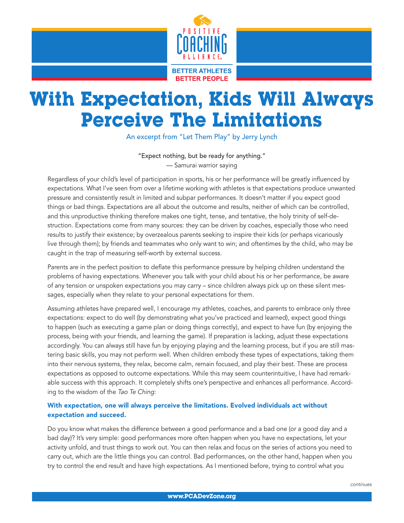

## With Expectation, Kids Will Always Perceive The Limitations

An excerpt from "Let Them Play" by Jerry Lynch

"Expect nothing, but be ready for anything." — Samurai warrior saying

Regardless of your child's level of participation in sports, his or her performance will be greatly influenced by expectations. What I've seen from over a lifetime working with athletes is that expectations produce unwanted pressure and consistently result in limited and subpar performances. It doesn't matter if you expect good things or bad things. Expectations are all about the outcome and results, neither of which can be controlled, and this unproductive thinking therefore makes one tight, tense, and tentative, the holy trinity of self-destruction. Expectations come from many sources: they can be driven by coaches, especially those who need results to justify their existence; by overzealous parents seeking to inspire their kids (or perhaps vicariously live through them); by friends and teammates who only want to win; and oftentimes by the child, who may be caught in the trap of measuring self-worth by external success.

Parents are in the perfect position to deflate this performance pressure by helping children understand the problems of having expectations. Whenever you talk with your child about his or her performance, be aware of any tension or unspoken expectations you may carry – since children always pick up on these silent messages, especially when they relate to your personal expectations for them.

Assuming athletes have prepared well, I encourage my athletes, coaches, and parents to embrace only three expectations: expect to do well (by demonstrating what you've practiced and learned), expect good things to happen (such as executing a game plan or doing things correctly), and expect to have fun (by enjoying the process, being with your friends, and learning the game). If preparation is lacking, adjust these expectations accordingly. You can always still have fun by enjoying playing and the learning process, but if you are still mastering basic skills, you may not perform well. When children embody these types of expectations, taking them into their nervous systems, they relax, become calm, remain focused, and play their best. These are process expectations as opposed to outcome expectations. While this may seem counterintuitive, I have had remarkable success with this approach. It completely shifts one's perspective and enhances all performance. According to the wisdom of the *Tao Te Ching:*

## With expectation, one will always perceive the limitations. Evolved individuals act without expectation and succeed.

Do you know what makes the difference between a good performance and a bad one (or a good day and a bad day)? It's very simple: good performances more often happen when you have no expectations, let your activity unfold, and trust things to work out. You can then relax and focus on the series of actions you need to carry out, which are the little things you can control. Bad performances, on the other hand, happen when you try to control the end result and have high expectations. As I mentioned before, trying to control what you